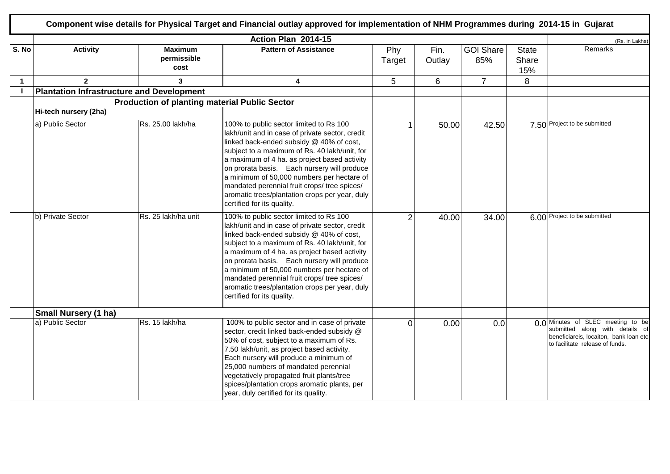|       |                                                  |                                                      | Component wise details for Physical Target and Financial outlay approved for implementation of NHM Programmes during 2014-15 in Gujarat                                                                                                                                                                                                                                                                                                                              |                |                |                         |                              |                                                                                                                                                   |
|-------|--------------------------------------------------|------------------------------------------------------|----------------------------------------------------------------------------------------------------------------------------------------------------------------------------------------------------------------------------------------------------------------------------------------------------------------------------------------------------------------------------------------------------------------------------------------------------------------------|----------------|----------------|-------------------------|------------------------------|---------------------------------------------------------------------------------------------------------------------------------------------------|
|       |                                                  |                                                      | Action Plan 2014-15                                                                                                                                                                                                                                                                                                                                                                                                                                                  |                |                |                         |                              | (Rs. in Lakhs)                                                                                                                                    |
| S. No | <b>Activity</b>                                  | <b>Maximum</b><br>permissible<br>cost                | <b>Pattern of Assistance</b>                                                                                                                                                                                                                                                                                                                                                                                                                                         | Phy<br>Target  | Fin.<br>Outlay | <b>GOI Share</b><br>85% | <b>State</b><br>Share<br>15% | Remarks                                                                                                                                           |
|       | $\mathbf{2}$                                     | 3                                                    | 4                                                                                                                                                                                                                                                                                                                                                                                                                                                                    | 5              | 6              | $\overline{7}$          | 8                            |                                                                                                                                                   |
|       | <b>Plantation Infrastructure and Development</b> |                                                      |                                                                                                                                                                                                                                                                                                                                                                                                                                                                      |                |                |                         |                              |                                                                                                                                                   |
|       |                                                  | <b>Production of planting material Public Sector</b> |                                                                                                                                                                                                                                                                                                                                                                                                                                                                      |                |                |                         |                              |                                                                                                                                                   |
|       | Hi-tech nursery (2ha)                            |                                                      |                                                                                                                                                                                                                                                                                                                                                                                                                                                                      |                |                |                         |                              |                                                                                                                                                   |
|       | a) Public Sector                                 | Rs. 25.00 lakh/ha                                    | 100% to public sector limited to Rs 100<br>lakh/unit and in case of private sector, credit<br>linked back-ended subsidy @ 40% of cost,<br>subject to a maximum of Rs. 40 lakh/unit, for<br>a maximum of 4 ha. as project based activity<br>on prorata basis. Each nursery will produce<br>a minimum of 50,000 numbers per hectare of<br>mandated perennial fruit crops/ tree spices/<br>aromatic trees/plantation crops per year, duly<br>certified for its quality. |                | 50.00          | 42.50                   |                              | 7.50 Project to be submitted                                                                                                                      |
|       | b) Private Sector                                | Rs. 25 lakh/ha unit                                  | 100% to public sector limited to Rs 100<br>lakh/unit and in case of private sector, credit<br>linked back-ended subsidy @ 40% of cost,<br>subject to a maximum of Rs. 40 lakh/unit, for<br>a maximum of 4 ha. as project based activity<br>on prorata basis. Each nursery will produce<br>a minimum of 50,000 numbers per hectare of<br>mandated perennial fruit crops/ tree spices/<br>aromatic trees/plantation crops per year, duly<br>certified for its quality. | $\overline{2}$ | 40.00          | 34.00                   |                              | 6.00 Project to be submitted                                                                                                                      |
|       | <b>Small Nursery (1 ha)</b>                      |                                                      |                                                                                                                                                                                                                                                                                                                                                                                                                                                                      |                |                |                         |                              |                                                                                                                                                   |
|       | a) Public Sector                                 | Rs. 15 lakh/ha                                       | 100% to public sector and in case of private<br>sector, credit linked back-ended subsidy @<br>50% of cost, subject to a maximum of Rs.<br>7.50 lakh/unit, as project based activity.<br>Each nursery will produce a minimum of<br>25,000 numbers of mandated perennial<br>vegetatively propagated fruit plants/tree<br>spices/plantation crops aromatic plants, per<br>year, duly certified for its quality.                                                         | $\mathbf 0$    | 0.00           | 0.0                     |                              | 0.0 Minutes of SLEC meeting to be<br>submitted along with details of<br>beneficiareis, locaiton, bank loan etc<br>to facilitate release of funds. |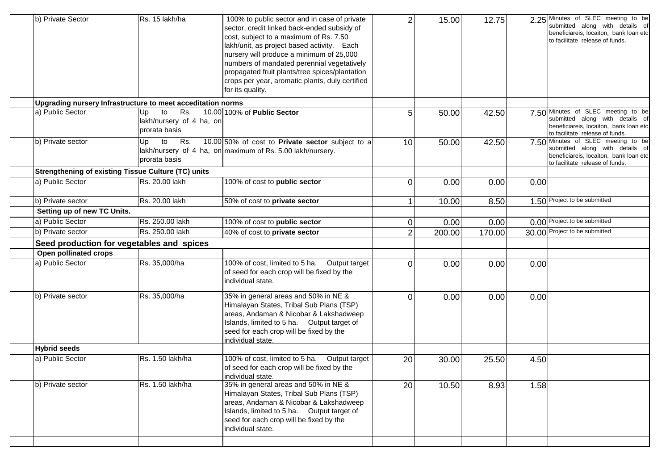|                                                             |                                                              | cost, subject to a maximum of Rs. 7.50<br>lakh/unit, as project based activity. Each<br>nursery will produce a minimum of 25,000<br>numbers of mandated perennial vegetatively<br>propagated fruit plants/tree spices/plantation<br>crops per year, aromatic plants, duly certified<br>for its quality. |                |        |        |      | beneficiareis, locaiton, bank loan etc<br>to facilitate release of funds.                                                                          |
|-------------------------------------------------------------|--------------------------------------------------------------|---------------------------------------------------------------------------------------------------------------------------------------------------------------------------------------------------------------------------------------------------------------------------------------------------------|----------------|--------|--------|------|----------------------------------------------------------------------------------------------------------------------------------------------------|
| Upgrading nursery Infrastructure to meet acceditation norms |                                                              |                                                                                                                                                                                                                                                                                                         |                |        |        |      |                                                                                                                                                    |
| a) Public Sector                                            | to<br>Rs.<br>Up<br>lakh/nursery of 4 ha, on<br>prorata basis | 10.00 100% of Public Sector                                                                                                                                                                                                                                                                             | 5              | 50.00  | 42.50  |      | 7.50 Minutes of SLEC meeting to be<br>submitted along with details of<br>beneficiareis, locaiton, bank loan etc<br>to facilitate release of funds. |
| b) Private sector                                           | Up<br>to<br>Rs.<br>prorata basis                             | 10.00 50% of cost to Private sector subject to a<br>lakh/nursery of 4 ha, on maximum of Rs. 5.00 lakh/nursery.                                                                                                                                                                                          | 10             | 50.00  | 42.50  |      | 7.50 Minutes of SLEC meeting to be<br>submitted along with details of<br>beneficiareis, locaiton, bank loan etc<br>to facilitate release of funds. |
| Strengthening of existing Tissue Culture (TC) units         |                                                              |                                                                                                                                                                                                                                                                                                         |                |        |        |      |                                                                                                                                                    |
| a) Public Sector                                            | Rs. 20.00 lakh                                               | 100% of cost to public sector                                                                                                                                                                                                                                                                           | $\Omega$       | 0.00   | 0.00   | 0.00 |                                                                                                                                                    |
| b) Private sector                                           | Rs. 20.00 lakh                                               | 50% of cost to private sector                                                                                                                                                                                                                                                                           |                | 10.00  | 8.50   |      | 1.50 Project to be submitted                                                                                                                       |
| Setting up of new TC Units.                                 |                                                              |                                                                                                                                                                                                                                                                                                         |                |        |        |      |                                                                                                                                                    |
| a) Public Sector                                            | Rs. 250.00 lakh                                              | 100% of cost to public sector                                                                                                                                                                                                                                                                           | 0              | 0.00   | 0.00   |      | 0.00 Project to be submitted                                                                                                                       |
| b) Private sector                                           | Rs. 250.00 lakh                                              | 40% of cost to private sector                                                                                                                                                                                                                                                                           | $\overline{2}$ | 200.00 | 170.00 |      | 30.00 Project to be submitted                                                                                                                      |
| Seed production for vegetables and spices                   |                                                              |                                                                                                                                                                                                                                                                                                         |                |        |        |      |                                                                                                                                                    |
| Open pollinated crops                                       |                                                              |                                                                                                                                                                                                                                                                                                         |                |        |        |      |                                                                                                                                                    |
| a) Public Sector                                            | Rs. 35,000/ha                                                | 100% of cost, limited to 5 ha. Output target<br>of seed for each crop will be fixed by the<br>individual state.                                                                                                                                                                                         | 0              | 0.00   | 0.00   | 0.00 |                                                                                                                                                    |
| b) Private sector                                           | Rs. 35,000/ha                                                | 35% in general areas and 50% in NE &<br>Himalayan States, Tribal Sub Plans (TSP)<br>areas, Andaman & Nicobar & Lakshadweep<br>Islands, limited to 5 ha. Output target of<br>seed for each crop will be fixed by the<br>individual state.                                                                | $\Omega$       | 0.00   | 0.00   | 0.00 |                                                                                                                                                    |
| <b>Hybrid seeds</b>                                         |                                                              |                                                                                                                                                                                                                                                                                                         |                |        |        |      |                                                                                                                                                    |
| a) Public Sector                                            | Rs. 1.50 lakh/ha                                             | 100% of cost, limited to 5 ha. Output target<br>of seed for each crop will be fixed by the<br>individual state.                                                                                                                                                                                         | 20             | 30.00  | 25.50  | 4.50 |                                                                                                                                                    |
| b) Private sector                                           | Rs. 1.50 lakh/ha                                             | 35% in general areas and 50% in NE &<br>Himalayan States, Tribal Sub Plans (TSP)<br>areas, Andaman & Nicobar & Lakshadweep<br>Islands, limited to 5 ha. Output target of<br>seed for each crop will be fixed by the<br>individual state.                                                                | 20             | 10.50  | 8.93   | 1.58 |                                                                                                                                                    |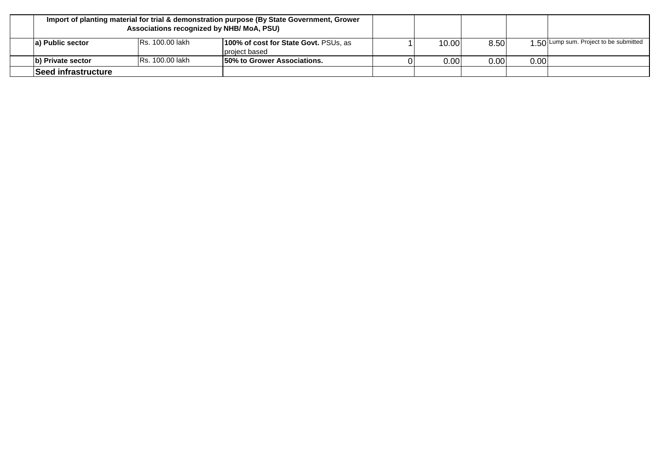| Import of planting material for trial & demonstration purpose (By State Government, Grower<br>Associations recognized by NHB/MoA, PSU) |                         |                                                        |       |      |      |                                        |
|----------------------------------------------------------------------------------------------------------------------------------------|-------------------------|--------------------------------------------------------|-------|------|------|----------------------------------------|
| la) Public sector                                                                                                                      | <b>IRs. 100.00 lakh</b> | 100% of cost for State Govt. PSUs, as<br>project based | 10.00 | 8.50 |      | 1 50 Lump sum. Project to be submitted |
| b) Private sector                                                                                                                      | IRs. 100.00 lakh        | 150% to Grower Associations.                           | 0.00  | 0.00 | 0.00 |                                        |
| <b>Seed infrastructure</b>                                                                                                             |                         |                                                        |       |      |      |                                        |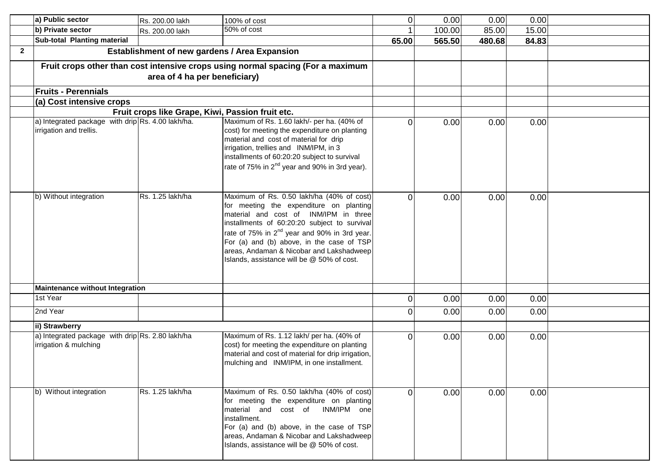|                | a) Public sector                                                             | Rs. 200.00 lakh                                  | 100% of cost                                                                                                                                                                                                                                                                                                                                                                     | $\mathbf 0$ | 0.00   | 0.00   | 0.00  |  |
|----------------|------------------------------------------------------------------------------|--------------------------------------------------|----------------------------------------------------------------------------------------------------------------------------------------------------------------------------------------------------------------------------------------------------------------------------------------------------------------------------------------------------------------------------------|-------------|--------|--------|-------|--|
|                | b) Private sector                                                            | Rs. 200.00 lakh                                  | 50% of cost                                                                                                                                                                                                                                                                                                                                                                      |             | 100.00 | 85.00  | 15.00 |  |
|                | Sub-total Planting material                                                  |                                                  |                                                                                                                                                                                                                                                                                                                                                                                  | 65.00       | 565.50 | 480.68 | 84.83 |  |
| $\overline{2}$ |                                                                              |                                                  | Establishment of new gardens / Area Expansion                                                                                                                                                                                                                                                                                                                                    |             |        |        |       |  |
|                |                                                                              | area of 4 ha per beneficiary)                    | Fruit crops other than cost intensive crops using normal spacing (For a maximum                                                                                                                                                                                                                                                                                                  |             |        |        |       |  |
|                | <b>Fruits - Perennials</b>                                                   |                                                  |                                                                                                                                                                                                                                                                                                                                                                                  |             |        |        |       |  |
|                | (a) Cost intensive crops                                                     |                                                  |                                                                                                                                                                                                                                                                                                                                                                                  |             |        |        |       |  |
|                |                                                                              | Fruit crops like Grape, Kiwi, Passion fruit etc. |                                                                                                                                                                                                                                                                                                                                                                                  |             |        |        |       |  |
|                | a) Integrated package with drip Rs. 4.00 lakh/ha.<br>irrigation and trellis. |                                                  | Maximum of Rs. 1.60 lakh/- per ha. (40% of<br>cost) for meeting the expenditure on planting<br>material and cost of material for drip<br>irrigation, trellies and INM/IPM, in 3<br>installments of 60:20:20 subject to survival<br>rate of 75% in 2 <sup>nd</sup> year and 90% in 3rd year).                                                                                     | $\Omega$    | 0.00   | 0.00   | 0.00  |  |
|                | b) Without integration                                                       | Rs. 1.25 lakh/ha                                 | Maximum of Rs. 0.50 lakh/ha (40% of cost)<br>for meeting the expenditure on planting<br>material and cost of INM/IPM in three<br>installments of 60:20:20 subject to survival<br>rate of 75% in 2 <sup>nd</sup> year and 90% in 3rd year.<br>For (a) and (b) above, in the case of TSP<br>areas, Andaman & Nicobar and Lakshadweep<br>Islands, assistance will be @ 50% of cost. | $\Omega$    | 0.00   | 0.00   | 0.00  |  |
|                | <b>Maintenance without Integration</b>                                       |                                                  |                                                                                                                                                                                                                                                                                                                                                                                  |             |        |        |       |  |
|                | 1st Year                                                                     |                                                  |                                                                                                                                                                                                                                                                                                                                                                                  | $\mathbf 0$ | 0.00   | 0.00   | 0.00  |  |
|                | 2nd Year                                                                     |                                                  |                                                                                                                                                                                                                                                                                                                                                                                  | $\Omega$    | 0.00   | 0.00   | 0.00  |  |
|                | ii) Strawberry                                                               |                                                  |                                                                                                                                                                                                                                                                                                                                                                                  |             |        |        |       |  |
|                | a) Integrated package with drip Rs. 2.80 lakh/ha<br>irrigation & mulching    |                                                  | Maximum of Rs. 1.12 lakh/ per ha. (40% of<br>cost) for meeting the expenditure on planting<br>material and cost of material for drip irrigation,<br>mulching and INM/IPM, in one installment.                                                                                                                                                                                    | $\Omega$    | 0.00   | 0.00   | 0.00  |  |
|                | b) Without integration                                                       | Rs. 1.25 lakh/ha                                 | Maximum of Rs. 0.50 lakh/ha (40% of cost)<br>for meeting the expenditure on planting<br>material and cost of INM/IPM one<br>installment.<br>For (a) and (b) above, in the case of TSP<br>areas, Andaman & Nicobar and Lakshadweep<br>Islands, assistance will be @ 50% of cost.                                                                                                  | $\Omega$    | 0.00   | 0.00   | 0.00  |  |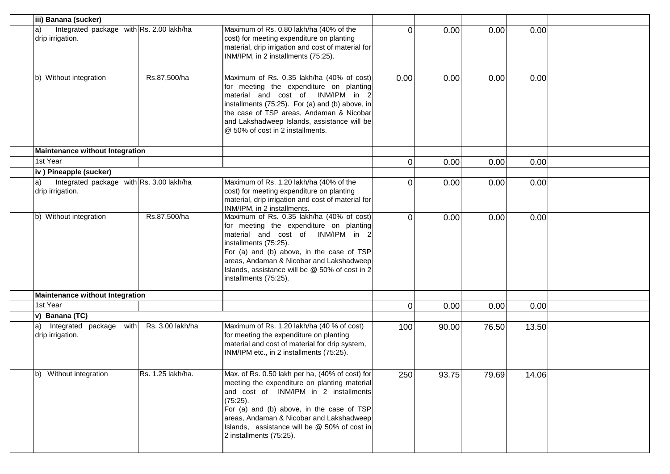| iii) Banana (sucker)                                               |                   |                                                                                                                                                                                                                                                                                                                             |              |       |       |       |  |
|--------------------------------------------------------------------|-------------------|-----------------------------------------------------------------------------------------------------------------------------------------------------------------------------------------------------------------------------------------------------------------------------------------------------------------------------|--------------|-------|-------|-------|--|
| Integrated package with Rs. 2.00 lakh/ha<br>a)<br>drip irrigation. |                   | Maximum of Rs. 0.80 lakh/ha (40% of the<br>cost) for meeting expenditure on planting<br>material, drip irrigation and cost of material for<br>INM/IPM, in 2 installments (75:25).                                                                                                                                           | $\Omega$     | 0.00  | 0.00  | 0.00  |  |
| b) Without integration                                             | Rs.87,500/ha      | Maximum of Rs. 0.35 lakh/ha (40% of cost)<br>for meeting the expenditure on planting<br>material and cost of INM/IPM in 2<br>installments (75:25). For (a) and (b) above, in<br>the case of TSP areas, Andaman & Nicobar<br>and Lakshadweep Islands, assistance will be<br>@ 50% of cost in 2 installments.                 | 0.00         | 0.00  | 0.00  | 0.00  |  |
| <b>Maintenance without Integration</b>                             |                   |                                                                                                                                                                                                                                                                                                                             |              |       |       |       |  |
| 1st Year                                                           |                   |                                                                                                                                                                                                                                                                                                                             | $\mathbf{0}$ | 0.00  | 0.00  | 0.00  |  |
| iv) Pineapple (sucker)                                             |                   |                                                                                                                                                                                                                                                                                                                             |              |       |       |       |  |
| Integrated package with Rs. 3.00 lakh/ha<br>drip irrigation.       |                   | Maximum of Rs. 1.20 lakh/ha (40% of the<br>cost) for meeting expenditure on planting<br>material, drip irrigation and cost of material for<br>INM/IPM, in 2 installments.                                                                                                                                                   | $\Omega$     | 0.00  | 0.00  | 0.00  |  |
| b) Without integration                                             | Rs.87,500/ha      | Maximum of Rs. 0.35 lakh/ha (40% of cost)<br>for meeting the expenditure on planting<br>material and cost of INM/IPM in 2<br>installments (75:25).<br>For (a) and (b) above, in the case of TSP<br>areas, Andaman & Nicobar and Lakshadweep<br>Islands, assistance will be @ 50% of cost in 2<br>installments (75:25).      | $\Omega$     | 0.00  | 0.00  | 0.00  |  |
| <b>Maintenance without Integration</b>                             |                   |                                                                                                                                                                                                                                                                                                                             |              |       |       |       |  |
| 1st Year                                                           |                   |                                                                                                                                                                                                                                                                                                                             | $\mathbf{0}$ | 0.00  | 0.00  | 0.00  |  |
| v) Banana (TC)                                                     |                   |                                                                                                                                                                                                                                                                                                                             |              |       |       |       |  |
| Integrated package with<br>la)<br>drip irrigation.                 | Rs. 3.00 lakh/ha  | Maximum of Rs. 1.20 lakh/ha (40 % of cost)<br>for meeting the expenditure on planting<br>material and cost of material for drip system,<br>INM/IPM etc., in 2 installments (75:25).                                                                                                                                         | 100          | 90.00 | 76.50 | 13.50 |  |
| Without integration<br>Ib)                                         | Rs. 1.25 lakh/ha. | Max. of Rs. 0.50 lakh per ha, (40% of cost) for<br>meeting the expenditure on planting material<br>and cost of INM/IPM in 2 installments<br>$(75:25)$ .<br>For (a) and (b) above, in the case of TSP<br>areas, Andaman & Nicobar and Lakshadweep<br>Islands, assistance will be @ 50% of cost in<br>2 installments (75:25). | 250          | 93.75 | 79.69 | 14.06 |  |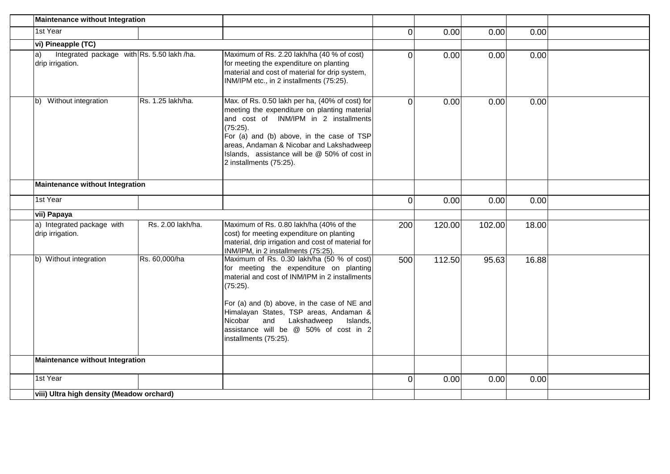| Maintenance without Integration                                      |                   |                                                                                                                                                                                                                                                                                                                                                        |          |        |        |       |  |
|----------------------------------------------------------------------|-------------------|--------------------------------------------------------------------------------------------------------------------------------------------------------------------------------------------------------------------------------------------------------------------------------------------------------------------------------------------------------|----------|--------|--------|-------|--|
| 1st Year                                                             |                   |                                                                                                                                                                                                                                                                                                                                                        | $\Omega$ | 0.00   | 0.00   | 0.00  |  |
| vi) Pineapple (TC)                                                   |                   |                                                                                                                                                                                                                                                                                                                                                        |          |        |        |       |  |
| Integrated package with Rs. 5.50 lakh /ha.<br>a)<br>drip irrigation. |                   | Maximum of Rs. 2.20 lakh/ha (40 % of cost)<br>for meeting the expenditure on planting<br>material and cost of material for drip system,<br>INM/IPM etc., in 2 installments (75:25).                                                                                                                                                                    | $\Omega$ | 0.00   | 0.00   | 0.00  |  |
| Without integration<br>lb)                                           | Rs. 1.25 lakh/ha. | Max. of Rs. 0.50 lakh per ha, (40% of cost) for<br>meeting the expenditure on planting material<br>and cost of INM/IPM in 2 installments<br>(75:25).<br>For (a) and (b) above, in the case of TSP<br>areas, Andaman & Nicobar and Lakshadweep<br>Islands, assistance will be @ 50% of cost in<br>2 installments (75:25).                               | $\Omega$ | 0.00   | 0.00   | 0.00  |  |
| <b>Maintenance without Integration</b>                               |                   |                                                                                                                                                                                                                                                                                                                                                        |          |        |        |       |  |
| 1st Year                                                             |                   |                                                                                                                                                                                                                                                                                                                                                        | $\Omega$ | 0.00   | 0.00   | 0.00  |  |
| vii) Papaya                                                          |                   |                                                                                                                                                                                                                                                                                                                                                        |          |        |        |       |  |
| a) Integrated package with<br>drip irrigation.                       | Rs. 2.00 lakh/ha. | Maximum of Rs. 0.80 lakh/ha (40% of the<br>cost) for meeting expenditure on planting<br>material, drip irrigation and cost of material for<br>INM/IPM, in 2 installments (75:25).                                                                                                                                                                      | 200      | 120.00 | 102.00 | 18.00 |  |
| b) Without integration                                               | Rs. 60,000/ha     | Maximum of Rs. 0.30 lakh/ha (50 % of cost)<br>for meeting the expenditure on planting<br>material and cost of INM/IPM in 2 installments<br>(75:25).<br>For (a) and (b) above, in the case of NE and<br>Himalayan States, TSP areas, Andaman &<br>Nicobar and Lakshadweep<br>Islands,<br>assistance will be @ 50% of cost in 2<br>installments (75:25). | 500      | 112.50 | 95.63  | 16.88 |  |
| Maintenance without Integration                                      |                   |                                                                                                                                                                                                                                                                                                                                                        |          |        |        |       |  |
| 1st Year                                                             |                   |                                                                                                                                                                                                                                                                                                                                                        | $\Omega$ | 0.00   | 0.00   | 0.00  |  |
| viii) Ultra high density (Meadow orchard)                            |                   |                                                                                                                                                                                                                                                                                                                                                        |          |        |        |       |  |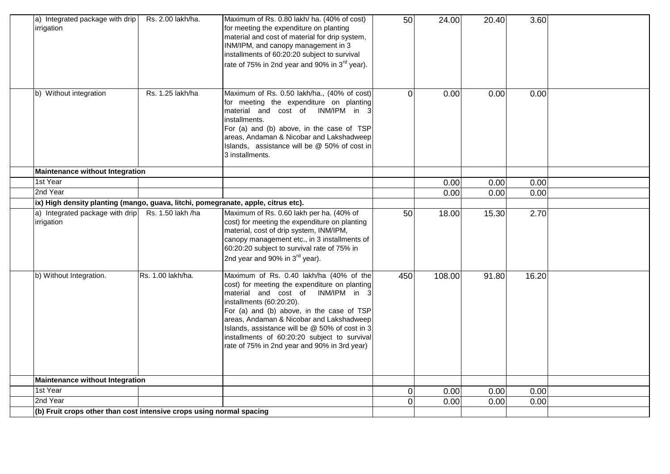| a) Integrated package with drip<br>irrigation                                     | Rs. 2.00 lakh/ha. | Maximum of Rs. 0.80 lakh/ ha. (40% of cost)<br>for meeting the expenditure on planting<br>material and cost of material for drip system,<br>INM/IPM, and canopy management in 3<br>installments of 60:20:20 subject to survival<br>rate of 75% in 2nd year and 90% in 3 <sup>rd</sup> year).                                                                                                         | 50             | 24.00  | 20.40 | 3.60  |  |
|-----------------------------------------------------------------------------------|-------------------|------------------------------------------------------------------------------------------------------------------------------------------------------------------------------------------------------------------------------------------------------------------------------------------------------------------------------------------------------------------------------------------------------|----------------|--------|-------|-------|--|
| b) Without integration                                                            | Rs. 1.25 lakh/ha  | Maximum of Rs. 0.50 lakh/ha., (40% of cost)<br>for meeting the expenditure on planting<br>material and cost of INM/IPM in 3<br>installments.<br>For (a) and (b) above, in the case of TSP<br>areas, Andaman & Nicobar and Lakshadweep<br>Islands, assistance will be @ 50% of cost in<br>3 installments.                                                                                             | $\Omega$       | 0.00   | 0.00  | 0.00  |  |
| <b>Maintenance without Integration</b>                                            |                   |                                                                                                                                                                                                                                                                                                                                                                                                      |                |        |       |       |  |
| 1st Year                                                                          |                   |                                                                                                                                                                                                                                                                                                                                                                                                      |                | 0.00   | 0.00  | 0.00  |  |
| 2nd Year                                                                          |                   |                                                                                                                                                                                                                                                                                                                                                                                                      |                | 0.00   | 0.00  | 0.00  |  |
| ix) High density planting (mango, guava, litchi, pomegranate, apple, citrus etc). |                   |                                                                                                                                                                                                                                                                                                                                                                                                      |                |        |       |       |  |
| a) Integrated package with drip<br>irrigation                                     | Rs. 1.50 lakh /ha | Maximum of Rs. 0.60 lakh per ha. (40% of<br>cost) for meeting the expenditure on planting<br>material, cost of drip system, INM/IPM,<br>canopy management etc., in 3 installments of<br>60:20:20 subject to survival rate of 75% in<br>2nd year and 90% in 3rd year).                                                                                                                                | 50             | 18.00  | 15.30 | 2.70  |  |
| b) Without Integration.                                                           | Rs. 1.00 lakh/ha. | Maximum of Rs. 0.40 lakh/ha (40% of the<br>cost) for meeting the expenditure on planting<br>material and cost of INM/IPM in 3<br>installments (60:20:20).<br>For (a) and (b) above, in the case of TSP<br>areas, Andaman & Nicobar and Lakshadweep<br>Islands, assistance will be @ 50% of cost in 3<br>installments of 60:20:20 subject to survival<br>rate of 75% in 2nd year and 90% in 3rd year) | 450            | 108.00 | 91.80 | 16.20 |  |
| <b>Maintenance without Integration</b>                                            |                   |                                                                                                                                                                                                                                                                                                                                                                                                      |                |        |       |       |  |
| 1st Year                                                                          |                   |                                                                                                                                                                                                                                                                                                                                                                                                      | $\overline{0}$ | 0.00   | 0.00  | 0.00  |  |
| 2nd Year                                                                          |                   |                                                                                                                                                                                                                                                                                                                                                                                                      | $\overline{0}$ | 0.00   | 0.00  | 0.00  |  |
| (b) Fruit crops other than cost intensive crops using normal spacing              |                   |                                                                                                                                                                                                                                                                                                                                                                                                      |                |        |       |       |  |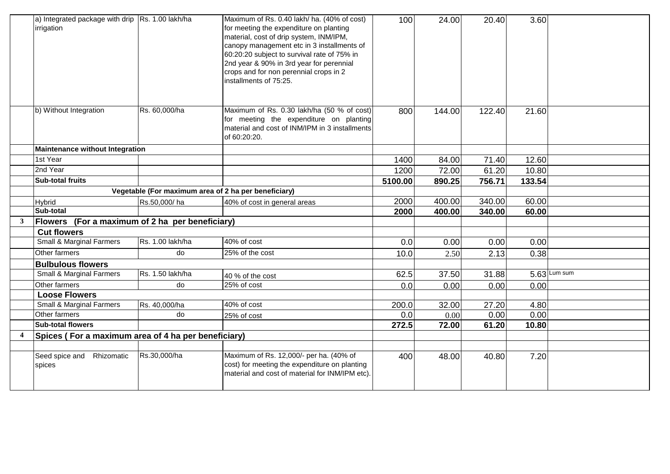|   | a) Integrated package with drip Rs. 1.00 lakh/ha<br>irrigation |                  | Maximum of Rs. 0.40 lakh/ ha. (40% of cost)<br>for meeting the expenditure on planting<br>material, cost of drip system, INM/IPM,<br>canopy management etc in 3 installments of<br>60:20:20 subject to survival rate of 75% in<br>2nd year & 90% in 3rd year for perennial<br>crops and for non perennial crops in 2<br>installments of 75:25. | 100     | 24.00  | 20.40  | 3.60   |                |
|---|----------------------------------------------------------------|------------------|------------------------------------------------------------------------------------------------------------------------------------------------------------------------------------------------------------------------------------------------------------------------------------------------------------------------------------------------|---------|--------|--------|--------|----------------|
|   | b) Without Integration                                         | Rs. 60,000/ha    | Maximum of Rs. 0.30 lakh/ha (50 % of cost)<br>for meeting the expenditure on planting<br>material and cost of INM/IPM in 3 installments<br>of 60:20:20.                                                                                                                                                                                        | 800     | 144.00 | 122.40 | 21.60  |                |
|   | <b>Maintenance without Integration</b>                         |                  |                                                                                                                                                                                                                                                                                                                                                |         |        |        |        |                |
|   | 1st Year                                                       |                  |                                                                                                                                                                                                                                                                                                                                                | 1400    | 84.00  | 71.40  | 12.60  |                |
|   | 2nd Year                                                       |                  |                                                                                                                                                                                                                                                                                                                                                | 1200    | 72.00  | 61.20  | 10.80  |                |
|   | <b>Sub-total fruits</b>                                        |                  |                                                                                                                                                                                                                                                                                                                                                | 5100.00 | 890.25 | 756.71 | 133.54 |                |
|   |                                                                |                  | Vegetable (For maximum area of 2 ha per beneficiary)                                                                                                                                                                                                                                                                                           |         |        |        |        |                |
|   | Hybrid                                                         | Rs.50,000/ha     | 40% of cost in general areas                                                                                                                                                                                                                                                                                                                   | 2000    | 400.00 | 340.00 | 60.00  |                |
|   | Sub-total                                                      |                  |                                                                                                                                                                                                                                                                                                                                                | 2000    | 400.00 | 340.00 | 60.00  |                |
| 3 | Flowers (For a maximum of 2 ha per beneficiary)                |                  |                                                                                                                                                                                                                                                                                                                                                |         |        |        |        |                |
|   | <b>Cut flowers</b>                                             |                  |                                                                                                                                                                                                                                                                                                                                                |         |        |        |        |                |
|   | <b>Small &amp; Marginal Farmers</b>                            | Rs. 1.00 lakh/ha | 40% of cost                                                                                                                                                                                                                                                                                                                                    | 0.0     | 0.00   | 0.00   | 0.00   |                |
|   | Other farmers                                                  | do               | 25% of the cost                                                                                                                                                                                                                                                                                                                                | 10.0    | 2.50   | 2.13   | 0.38   |                |
|   | <b>Bulbulous flowers</b>                                       |                  |                                                                                                                                                                                                                                                                                                                                                |         |        |        |        |                |
|   | Small & Marginal Farmers                                       | Rs. 1.50 lakh/ha | 40 % of the cost                                                                                                                                                                                                                                                                                                                               | 62.5    | 37.50  | 31.88  |        | $5.63$ Lum sum |
|   | Other farmers                                                  | do               | $25%$ of cost                                                                                                                                                                                                                                                                                                                                  | 0.0     | 0.00   | 0.00   | 0.00   |                |
|   | <b>Loose Flowers</b>                                           |                  |                                                                                                                                                                                                                                                                                                                                                |         |        |        |        |                |
|   | Small & Marginal Farmers                                       | Rs. 40,000/ha    | 40% of cost                                                                                                                                                                                                                                                                                                                                    | 200.0   | 32.00  | 27.20  | 4.80   |                |
|   | Other farmers                                                  | do               | 25% of cost                                                                                                                                                                                                                                                                                                                                    | 0.0     | 0.00   | 0.00   | 0.00   |                |
|   | <b>Sub-total flowers</b>                                       |                  |                                                                                                                                                                                                                                                                                                                                                | 272.5   | 72.00  | 61.20  | 10.80  |                |
| 4 | Spices (For a maximum area of 4 ha per beneficiary)            |                  |                                                                                                                                                                                                                                                                                                                                                |         |        |        |        |                |
|   |                                                                |                  |                                                                                                                                                                                                                                                                                                                                                |         |        |        |        |                |
|   | Seed spice and Rhizomatic<br>spices                            | Rs.30,000/ha     | Maximum of Rs. 12,000/- per ha. (40% of<br>cost) for meeting the expenditure on planting<br>material and cost of material for INM/IPM etc)                                                                                                                                                                                                     | 400     | 48.00  | 40.80  | 7.20   |                |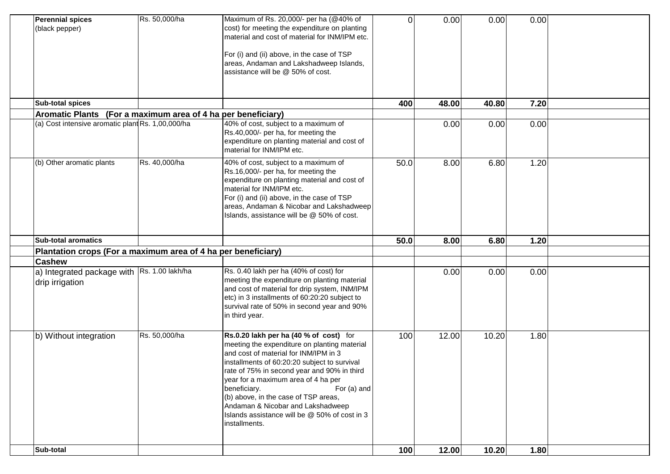| Sub-total                                                                      |               |                                                                                                                                                                                                                                                                                                                                                                                                                                                     | 100      | 12.00 | 10.20 | 1.80 |  |
|--------------------------------------------------------------------------------|---------------|-----------------------------------------------------------------------------------------------------------------------------------------------------------------------------------------------------------------------------------------------------------------------------------------------------------------------------------------------------------------------------------------------------------------------------------------------------|----------|-------|-------|------|--|
| b) Without integration                                                         | Rs. 50,000/ha | Rs.0.20 lakh per ha (40 % of cost) for<br>meeting the expenditure on planting material<br>and cost of material for INM/IPM in 3<br>installments of 60:20:20 subject to survival<br>rate of 75% in second year and 90% in third<br>year for a maximum area of 4 ha per<br>For (a) and<br>beneficiary.<br>(b) above, in the case of TSP areas,<br>Andaman & Nicobar and Lakshadweep<br>Islands assistance will be @ 50% of cost in 3<br>installments. | 100      | 12.00 | 10.20 | 1.80 |  |
| a) Integrated package with Rs. 1.00 lakh/ha<br>drip irrigation                 |               | Rs. 0.40 lakh per ha (40% of cost) for<br>meeting the expenditure on planting material<br>and cost of material for drip system, INM/IPM<br>etc) in 3 installments of 60:20:20 subject to<br>survival rate of 50% in second year and 90%<br>in third year.                                                                                                                                                                                           |          | 0.00  | 0.00  | 0.00 |  |
| Plantation crops (For a maximum area of 4 ha per beneficiary)<br><b>Cashew</b> |               |                                                                                                                                                                                                                                                                                                                                                                                                                                                     |          |       |       |      |  |
| <b>Sub-total aromatics</b>                                                     |               |                                                                                                                                                                                                                                                                                                                                                                                                                                                     | 50.0     | 8.00  | 6.80  | 1.20 |  |
| (b) Other aromatic plants                                                      | Rs. 40,000/ha | 40% of cost, subject to a maximum of<br>Rs.16,000/- per ha, for meeting the<br>expenditure on planting material and cost of<br>material for INM/IPM etc.<br>For (i) and (ii) above, in the case of TSP<br>areas, Andaman & Nicobar and Lakshadweep<br>Islands, assistance will be @ 50% of cost.                                                                                                                                                    | 50.0     | 8.00  | 6.80  | 1.20 |  |
| (a) Cost intensive aromatic plant Rs. 1,00,000/ha                              |               | 40% of cost, subject to a maximum of<br>Rs.40,000/- per ha, for meeting the<br>expenditure on planting material and cost of<br>material for INM/IPM etc.                                                                                                                                                                                                                                                                                            |          | 0.00  | 0.00  | 0.00 |  |
| Aromatic Plants (For a maximum area of 4 ha per beneficiary)                   |               |                                                                                                                                                                                                                                                                                                                                                                                                                                                     |          |       |       |      |  |
| <b>Sub-total spices</b>                                                        |               |                                                                                                                                                                                                                                                                                                                                                                                                                                                     | 400      | 48.00 | 40.80 | 7.20 |  |
|                                                                                |               | For (i) and (ii) above, in the case of TSP<br>areas, Andaman and Lakshadweep Islands,<br>assistance will be @ 50% of cost.                                                                                                                                                                                                                                                                                                                          |          |       |       |      |  |
| <b>Perennial spices</b><br>(black pepper)                                      | Rs. 50,000/ha | Maximum of Rs. 20,000/- per ha (@40% of<br>cost) for meeting the expenditure on planting<br>material and cost of material for INM/IPM etc.                                                                                                                                                                                                                                                                                                          | $\Omega$ | 0.00  | 0.00  | 0.00 |  |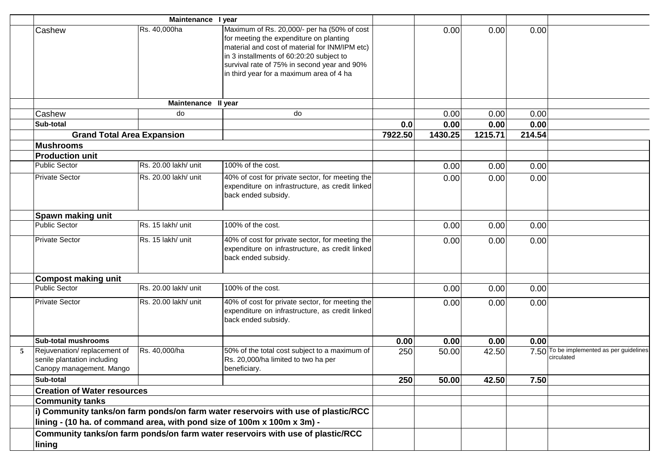|   |                                                                                                                                                                                        | Maintenance I year   |                                                                                                                                                                                                                                                                                 |         |         |         |        |                                                        |
|---|----------------------------------------------------------------------------------------------------------------------------------------------------------------------------------------|----------------------|---------------------------------------------------------------------------------------------------------------------------------------------------------------------------------------------------------------------------------------------------------------------------------|---------|---------|---------|--------|--------------------------------------------------------|
|   | Cashew                                                                                                                                                                                 | Rs. 40,000ha         | Maximum of Rs. 20,000/- per ha (50% of cost<br>for meeting the expenditure on planting<br>material and cost of material for INM/IPM etc)<br>in 3 installments of 60:20:20 subject to<br>survival rate of 75% in second year and 90%<br>in third year for a maximum area of 4 ha |         | 0.00    | 0.00    | 0.00   |                                                        |
|   |                                                                                                                                                                                        | Maintenance II year  |                                                                                                                                                                                                                                                                                 |         |         |         |        |                                                        |
|   | Cashew                                                                                                                                                                                 | do                   | do                                                                                                                                                                                                                                                                              |         | 0.00    | 0.00    | 0.00   |                                                        |
|   | Sub-total                                                                                                                                                                              |                      |                                                                                                                                                                                                                                                                                 | 0.0     | 0.00    | 0.00    | 0.00   |                                                        |
|   | <b>Grand Total Area Expansion</b>                                                                                                                                                      |                      |                                                                                                                                                                                                                                                                                 | 7922.50 | 1430.25 | 1215.71 | 214.54 |                                                        |
|   | <b>Mushrooms</b>                                                                                                                                                                       |                      |                                                                                                                                                                                                                                                                                 |         |         |         |        |                                                        |
|   | <b>Production unit</b>                                                                                                                                                                 |                      |                                                                                                                                                                                                                                                                                 |         |         |         |        |                                                        |
|   | <b>Public Sector</b>                                                                                                                                                                   | Rs. 20.00 lakh/ unit | 100% of the cost.                                                                                                                                                                                                                                                               |         | 0.00    | 0.00    | 0.00   |                                                        |
|   | <b>Private Sector</b>                                                                                                                                                                  | Rs. 20.00 lakh/ unit | 40% of cost for private sector, for meeting the<br>expenditure on infrastructure, as credit linked<br>back ended subsidy.                                                                                                                                                       |         | 0.00    | 0.00    | 0.00   |                                                        |
|   | Spawn making unit                                                                                                                                                                      |                      |                                                                                                                                                                                                                                                                                 |         |         |         |        |                                                        |
|   | <b>Public Sector</b>                                                                                                                                                                   | Rs. 15 lakh/ unit    | 100% of the cost.                                                                                                                                                                                                                                                               |         | 0.00    | 0.00    | 0.00   |                                                        |
|   | <b>Private Sector</b>                                                                                                                                                                  | Rs. 15 lakh/ unit    | 40% of cost for private sector, for meeting the<br>expenditure on infrastructure, as credit linked<br>back ended subsidy.                                                                                                                                                       |         | 0.00    | 0.00    | 0.00   |                                                        |
|   | <b>Compost making unit</b>                                                                                                                                                             |                      |                                                                                                                                                                                                                                                                                 |         |         |         |        |                                                        |
|   | <b>Public Sector</b>                                                                                                                                                                   | Rs. 20.00 lakh/ unit | 100% of the cost.                                                                                                                                                                                                                                                               |         | 0.00    | 0.00    | 0.00   |                                                        |
|   | <b>Private Sector</b>                                                                                                                                                                  | Rs. 20.00 lakh/ unit | 40% of cost for private sector, for meeting the<br>expenditure on infrastructure, as credit linked<br>back ended subsidy.                                                                                                                                                       |         | 0.00    | 0.00    | 0.00   |                                                        |
|   | Sub-total mushrooms                                                                                                                                                                    |                      |                                                                                                                                                                                                                                                                                 | 0.00    | 0.00    | 0.00    | 0.00   |                                                        |
| 5 | Rejuvenation/replacement of<br>senile plantation including<br>Canopy management. Mango                                                                                                 | Rs. 40,000/ha        | 50% of the total cost subject to a maximum of<br>Rs. 20,000/ha limited to two ha per<br>beneficiary.                                                                                                                                                                            | 250     | 50.00   | 42.50   |        | 7.50 To be implemented as per guidelines<br>circulated |
|   | Sub-total                                                                                                                                                                              |                      |                                                                                                                                                                                                                                                                                 | 250     | 50.00   | 42.50   | 7.50   |                                                        |
|   | <b>Creation of Water resources</b>                                                                                                                                                     |                      |                                                                                                                                                                                                                                                                                 |         |         |         |        |                                                        |
|   | <b>Community tanks</b><br>i) Community tanks/on farm ponds/on farm water reservoirs with use of plastic/RCC<br>lining - (10 ha. of command area, with pond size of 100m x 100m x 3m) - |                      |                                                                                                                                                                                                                                                                                 |         |         |         |        |                                                        |
|   |                                                                                                                                                                                        |                      |                                                                                                                                                                                                                                                                                 |         |         |         |        |                                                        |
|   | lining                                                                                                                                                                                 |                      | Community tanks/on farm ponds/on farm water reservoirs with use of plastic/RCC                                                                                                                                                                                                  |         |         |         |        |                                                        |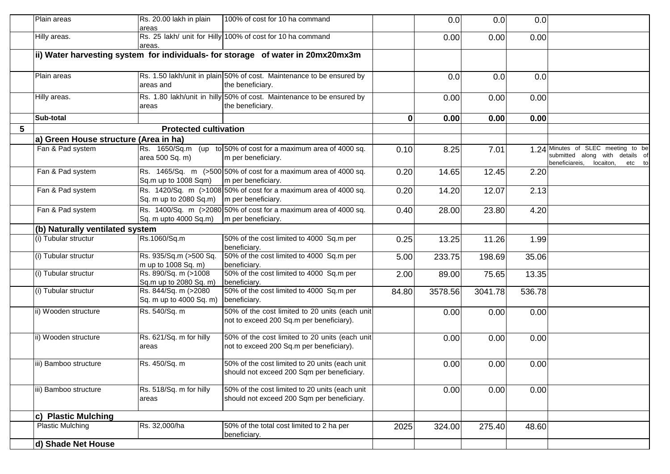|   | Plain areas                           | Rs. 20.00 lakh in plain<br>areas                          | 100% of cost for 10 ha command                                                               |       | 0.0     | 0.0     | 0.0    |                                                                                                                |
|---|---------------------------------------|-----------------------------------------------------------|----------------------------------------------------------------------------------------------|-------|---------|---------|--------|----------------------------------------------------------------------------------------------------------------|
|   | Hilly areas.                          | areas.                                                    | Rs. 25 lakh/ unit for Hilly 100% of cost for 10 ha command                                   |       | 0.00    | 0.00    | 0.00   |                                                                                                                |
|   |                                       |                                                           | ii) Water harvesting system for individuals- for storage of water in 20mx20mx3m              |       |         |         |        |                                                                                                                |
|   | Plain areas                           | areas and                                                 | Rs. 1.50 lakh/unit in plain 50% of cost. Maintenance to be ensured by<br>the beneficiary.    |       | 0.0     | 0.0     | 0.0    |                                                                                                                |
|   | Hilly areas.                          | areas                                                     | Rs. 1.80 lakh/unit in hilly 50% of cost. Maintenance to be ensured by<br>the beneficiary.    |       | 0.00    | 0.00    | 0.00   |                                                                                                                |
|   | Sub-total                             |                                                           |                                                                                              | 0     | 0.00    | 0.00    | 0.00   |                                                                                                                |
| 5 |                                       | <b>Protected cultivation</b>                              |                                                                                              |       |         |         |        |                                                                                                                |
|   | a) Green House structure (Area in ha) |                                                           |                                                                                              |       |         |         |        |                                                                                                                |
|   | Fan & Pad system                      | area 500 Sq. m)                                           | Rs. $1650/Sq.m$ (up to 50% of cost for a maximum area of 4000 sq.<br>m per beneficiary.      | 0.10  | 8.25    | 7.01    |        | 1.24 Minutes of SLEC meeting to be<br>submitted along with details of<br>beneficiareis,<br>locaiton,<br>etc to |
|   | Fan & Pad system                      | Sq.m up to 1008 Sqm)                                      | Rs. 1465/Sq. m (>500 50% of cost for a maximum area of 4000 sq.<br>m per beneficiary.        | 0.20  | 14.65   | 12.45   | 2.20   |                                                                                                                |
|   | Fan & Pad system                      | $\vert$ Sq. m up to 2080 Sq.m) $\vert$ m per beneficiary. | Rs. 1420/Sq. m (>1008 50% of cost for a maximum area of 4000 sq.                             | 0.20  | 14.20   | 12.07   | 2.13   |                                                                                                                |
|   | Fan & Pad system                      | Sq. m upto 4000 Sq.m)                                     | Rs. 1400/Sq. m (>2080 50% of cost for a maximum area of 4000 sq.<br>m per beneficiary.       | 0.40  | 28.00   | 23.80   | 4.20   |                                                                                                                |
|   | (b) Naturally ventilated system       |                                                           |                                                                                              |       |         |         |        |                                                                                                                |
|   | (i) Tubular structur                  | Rs.1060/Sq.m                                              | 50% of the cost limited to 4000 Sq.m per<br>beneficiary.                                     | 0.25  | 13.25   | 11.26   | 1.99   |                                                                                                                |
|   | (i) Tubular structur                  | Rs. 935/Sq.m (>500 Sq.<br>m up to 1008 Sq. m)             | 50% of the cost limited to 4000 Sq.m per<br>beneficiary.                                     | 5.00  | 233.75  | 198.69  | 35.06  |                                                                                                                |
|   | (i) Tubular structur                  | Rs. 890/Sq. m (>1008<br>Sq.m up to 2080 Sq. m)            | 50% of the cost limited to 4000 Sq.m per<br>beneficiary.                                     | 2.00  | 89.00   | 75.65   | 13.35  |                                                                                                                |
|   | (i) Tubular structur                  | Rs. 844/Sq. m (>2080<br>Sq. m up to 4000 Sq. m)           | 50% of the cost limited to 4000 Sq.m per<br>beneficiary.                                     | 84.80 | 3578.56 | 3041.78 | 536.78 |                                                                                                                |
|   | ii) Wooden structure                  | Rs. 540/Sq. m                                             | 50% of the cost limited to 20 units (each unit<br>not to exceed 200 Sq.m per beneficiary).   |       | 0.00    | 0.00    | 0.00   |                                                                                                                |
|   | ii) Wooden structure                  | Rs. 621/Sq. m for hilly<br>areas                          | 50% of the cost limited to 20 units (each unit<br>not to exceed 200 Sq.m per beneficiary).   |       | 0.00    | 0.00    | 0.00   |                                                                                                                |
|   | iii) Bamboo structure                 | Rs. 450/Sq. m                                             | 50% of the cost limited to 20 units (each unit<br>should not exceed 200 Sqm per beneficiary. |       | 0.00    | 0.00    | 0.00   |                                                                                                                |
|   | iii) Bamboo structure                 | Rs. 518/Sq. m for hilly<br>areas                          | 50% of the cost limited to 20 units (each unit<br>should not exceed 200 Sqm per beneficiary. |       | 0.00    | 0.00    | 0.00   |                                                                                                                |
|   | c) Plastic Mulching                   |                                                           |                                                                                              |       |         |         |        |                                                                                                                |
|   | <b>Plastic Mulching</b>               | Rs. 32,000/ha                                             | 50% of the total cost limited to 2 ha per<br>beneficiary.                                    | 2025  | 324.00  | 275.40  | 48.60  |                                                                                                                |
|   | d) Shade Net House                    |                                                           |                                                                                              |       |         |         |        |                                                                                                                |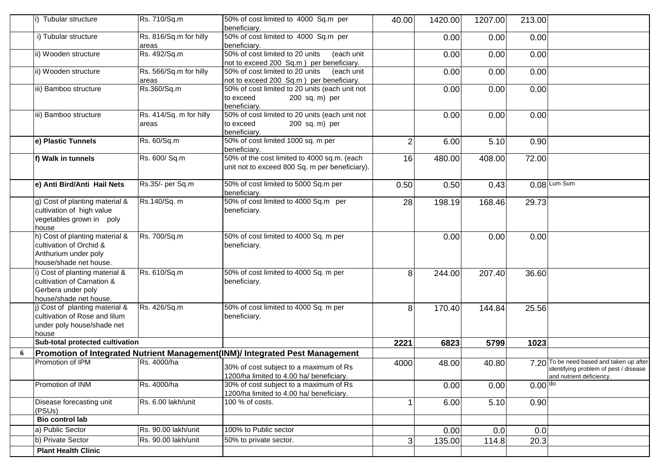| Tubular structure                                                                                           | Rs. 710/Sq.m                                                             | 50% of cost limited to 4000 Sq.m per                                                          | 40.00                                                                                                                                                                                                                                                                                              | 1420.00 | 1207.00 | 213.00    |                                                                                                               |
|-------------------------------------------------------------------------------------------------------------|--------------------------------------------------------------------------|-----------------------------------------------------------------------------------------------|----------------------------------------------------------------------------------------------------------------------------------------------------------------------------------------------------------------------------------------------------------------------------------------------------|---------|---------|-----------|---------------------------------------------------------------------------------------------------------------|
| i) Tubular structure                                                                                        | Rs. 816/Sq.m for hilly                                                   | 50% of cost limited to 4000 Sq.m per                                                          |                                                                                                                                                                                                                                                                                                    | 0.00    | 0.00    | 0.00      |                                                                                                               |
| ii) Wooden structure                                                                                        | Rs. 492/Sq.m                                                             | 50% of cost limited to 20 units<br>(each unit                                                 |                                                                                                                                                                                                                                                                                                    | 0.00    | 0.00    | 0.00      |                                                                                                               |
| ii) Wooden structure                                                                                        | Rs. 566/Sq.m for hilly<br>areas                                          | 50% of cost limited to 20 units<br>(each unit                                                 |                                                                                                                                                                                                                                                                                                    | 0.00    | 0.00    | 0.00      |                                                                                                               |
| iii) Bamboo structure                                                                                       | Rs.360/Sq.m                                                              | 50% of cost limited to 20 units (each unit not<br>to exceed<br>200 sq. m) per                 |                                                                                                                                                                                                                                                                                                    | 0.00    | 0.00    | 0.00      |                                                                                                               |
| iii) Bamboo structure                                                                                       | Rs. 414/Sq. m for hilly<br>areas                                         | 50% of cost limited to 20 units (each unit not<br>to exceed<br>200 sq. m) per<br>beneficiary. |                                                                                                                                                                                                                                                                                                    | 0.00    | 0.00    | 0.00      |                                                                                                               |
| e) Plastic Tunnels                                                                                          | Rs. 60/Sq.m                                                              | 50% of cost limited 1000 sq. m per                                                            | $\overline{2}$                                                                                                                                                                                                                                                                                     | 6.00    | 5.10    | 0.90      |                                                                                                               |
| f) Walk in tunnels                                                                                          | Rs. 600/ Sq.m                                                            | 50% of the cost limited to 4000 sq.m. (each<br>unit not to exceed 800 Sq. m per beneficiary). | 16                                                                                                                                                                                                                                                                                                 | 480.00  | 408.00  | 72.00     |                                                                                                               |
| e) Anti Bird/Anti Hail Nets                                                                                 | Rs.35/- per Sq.m                                                         | 50% of cost limited to 5000 Sq.m per                                                          | 0.50                                                                                                                                                                                                                                                                                               | 0.50    | 0.43    |           | $0.08$ Lum Sum                                                                                                |
| g) Cost of planting material &<br>cultivation of high value<br>vegetables grown in poly<br>house            | Rs.140/Sq. m                                                             | 50% of cost limited to 4000 Sq.m per<br>beneficiary.                                          | 28                                                                                                                                                                                                                                                                                                 | 198.19  | 168.46  | 29.73     |                                                                                                               |
| h) Cost of planting material &<br>cultivation of Orchid &<br>Anthurium under poly<br>house/shade net house. | Rs. 700/Sq.m                                                             | 50% of cost limited to 4000 Sq. m per<br>beneficiary.                                         |                                                                                                                                                                                                                                                                                                    | 0.00    | 0.00    | 0.00      |                                                                                                               |
| i) Cost of planting material &<br>cultivation of Carnation &<br>Gerbera under poly                          | Rs. 610/Sq.m                                                             | 50% of cost limited to 4000 Sq. m per<br>beneficiary.                                         | 8                                                                                                                                                                                                                                                                                                  | 244.00  | 207.40  | 36.60     |                                                                                                               |
| j) Cost of planting material &<br>cultivation of Rose and lilum<br>under poly house/shade net<br>house      | Rs. 426/Sq.m                                                             | 50% of cost limited to 4000 Sq. m per<br>beneficiary.                                         | 8                                                                                                                                                                                                                                                                                                  | 170.40  | 144.84  | 25.56     |                                                                                                               |
|                                                                                                             |                                                                          |                                                                                               | 2221                                                                                                                                                                                                                                                                                               | 6823    | 5799    | 1023      |                                                                                                               |
|                                                                                                             |                                                                          |                                                                                               |                                                                                                                                                                                                                                                                                                    |         |         |           |                                                                                                               |
|                                                                                                             |                                                                          | 30% of cost subject to a maximum of Rs                                                        | 4000                                                                                                                                                                                                                                                                                               | 48.00   | 40.80   |           | 7.20 To be need based and taken up after<br>identifying problem of pest / disease<br>and nutrient deficiency. |
| Promotion of INM                                                                                            | Rs. 4000/ha                                                              | 30% of cost subject to a maximum of Rs<br>1200/ha limited to 4.00 ha/ beneficiary.            |                                                                                                                                                                                                                                                                                                    | 0.00    | 0.00    | $0.00$ do |                                                                                                               |
| Disease forecasting unit<br>(PSUs)                                                                          | Rs. 6.00 lakh/unit                                                       | 100 % of costs.                                                                               |                                                                                                                                                                                                                                                                                                    | 6.00    | 5.10    | 0.90      |                                                                                                               |
| <b>Bio control lab</b>                                                                                      |                                                                          |                                                                                               |                                                                                                                                                                                                                                                                                                    |         |         |           |                                                                                                               |
| a) Public Sector                                                                                            | Rs. 90.00 lakh/unit                                                      | 100% to Public sector                                                                         |                                                                                                                                                                                                                                                                                                    | 0.00    | 0.0     | 0.0       |                                                                                                               |
| b) Private Sector                                                                                           | Rs. 90.00 lakh/unit                                                      | 50% to private sector.                                                                        | 3                                                                                                                                                                                                                                                                                                  | 135.00  | 114.8   | 20.3      |                                                                                                               |
|                                                                                                             | house/shade net house.<br>Promotion of IPM<br><b>Plant Health Clinic</b> | areas<br>Sub-total protected cultivation<br>Rs. 4000/ha                                       | beneficiary.<br>beneficiary.<br>not to exceed 200 Sq.m ) per beneficiary.<br>not to exceed 200 Sq.m ) per beneficiary.<br>beneficiary.<br>beneficiary.<br>beneficiary.<br>Promotion of Integrated Nutrient Management(INM)/ Integrated Pest Management<br>1200/ha limited to 4.00 ha/ beneficiary. |         |         |           |                                                                                                               |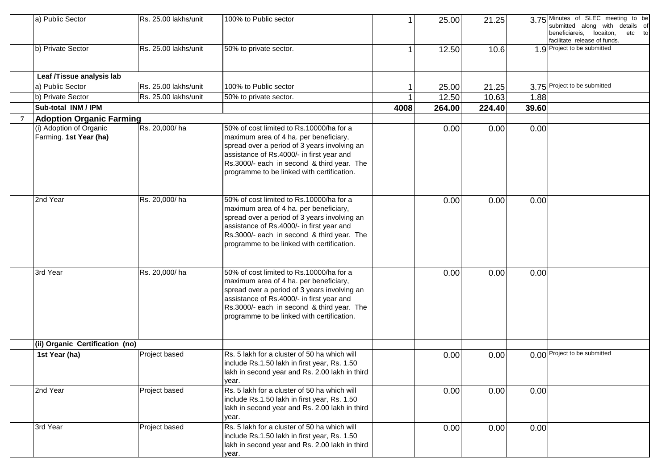|   | a) Public Sector                                  | Rs. 25.00 lakhs/unit | 100% to Public sector                                                                                                                                                                                                                                                       |      | 25.00  | 21.25  |       | 3.75 Minutes of SLEC meeting to be<br>submitted along with details of<br>beneficiareis, locaiton,<br>etc to<br>facilitate release of funds. |
|---|---------------------------------------------------|----------------------|-----------------------------------------------------------------------------------------------------------------------------------------------------------------------------------------------------------------------------------------------------------------------------|------|--------|--------|-------|---------------------------------------------------------------------------------------------------------------------------------------------|
|   | b) Private Sector                                 | Rs. 25.00 lakhs/unit | 50% to private sector.                                                                                                                                                                                                                                                      |      | 12.50  | 10.6   |       | 1.9 Project to be submitted                                                                                                                 |
|   | Leaf /Tissue analysis lab                         |                      |                                                                                                                                                                                                                                                                             |      |        |        |       |                                                                                                                                             |
|   | a) Public Sector                                  | Rs. 25.00 lakhs/unit | 100% to Public sector                                                                                                                                                                                                                                                       |      | 25.00  | 21.25  |       | 3.75 Project to be submitted                                                                                                                |
|   | b) Private Sector                                 | Rs. 25.00 lakhs/unit | 50% to private sector.                                                                                                                                                                                                                                                      |      | 12.50  | 10.63  | 1.88  |                                                                                                                                             |
|   | Sub-total INM / IPM                               |                      |                                                                                                                                                                                                                                                                             | 4008 | 264.00 | 224.40 | 39.60 |                                                                                                                                             |
| 7 | <b>Adoption Organic Farming</b>                   |                      |                                                                                                                                                                                                                                                                             |      |        |        |       |                                                                                                                                             |
|   | (i) Adoption of Organic<br>Farming. 1st Year (ha) | Rs. 20,000/ha        | 50% of cost limited to Rs.10000/ha for a<br>maximum area of 4 ha. per beneficiary,<br>spread over a period of 3 years involving an<br>assistance of Rs.4000/- in first year and<br>Rs.3000/- each in second & third year. The<br>programme to be linked with certification. |      | 0.00   | 0.00   | 0.00  |                                                                                                                                             |
|   | 2nd Year                                          | Rs. 20,000/ha        | 50% of cost limited to Rs.10000/ha for a<br>maximum area of 4 ha. per beneficiary,<br>spread over a period of 3 years involving an<br>assistance of Rs.4000/- in first year and<br>Rs.3000/- each in second & third year. The<br>programme to be linked with certification. |      | 0.00   | 0.00   | 0.00  |                                                                                                                                             |
|   | 3rd Year                                          | Rs. 20,000/ha        | 50% of cost limited to Rs.10000/ha for a<br>maximum area of 4 ha. per beneficiary,<br>spread over a period of 3 years involving an<br>assistance of Rs.4000/- in first year and<br>Rs.3000/- each in second & third year. The<br>programme to be linked with certification. |      | 0.00   | 0.00   | 0.00  |                                                                                                                                             |
|   | (ii) Organic Certification (no)                   |                      |                                                                                                                                                                                                                                                                             |      |        |        |       |                                                                                                                                             |
|   | 1st Year (ha)                                     | Project based        | Rs. 5 lakh for a cluster of 50 ha which will<br>include Rs.1.50 lakh in first year, Rs. 1.50<br>lakh in second year and Rs. 2.00 lakh in third<br>year.                                                                                                                     |      | 0.00   | 0.00   |       | 0.00 Project to be submitted                                                                                                                |
|   | 2nd Year                                          | Project based        | Rs. 5 lakh for a cluster of 50 ha which will<br>include Rs.1.50 lakh in first year, Rs. 1.50<br>lakh in second year and Rs. 2.00 lakh in third<br>year.                                                                                                                     |      | 0.00   | 0.00   | 0.00  |                                                                                                                                             |
|   | 3rd Year                                          | Project based        | Rs. 5 lakh for a cluster of 50 ha which will<br>include Rs.1.50 lakh in first year, Rs. 1.50<br>lakh in second year and Rs. 2.00 lakh in third<br>year.                                                                                                                     |      | 0.00   | 0.00   | 0.00  |                                                                                                                                             |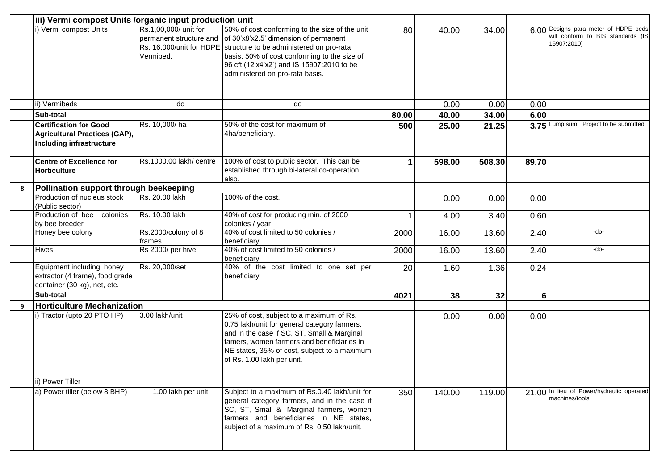|                  | iii) Vermi compost Units /organic input production unit                                           |                                                               |                                                                                                                                                                                                                                                                                               |       |        |        |                |                                                                                          |
|------------------|---------------------------------------------------------------------------------------------------|---------------------------------------------------------------|-----------------------------------------------------------------------------------------------------------------------------------------------------------------------------------------------------------------------------------------------------------------------------------------------|-------|--------|--------|----------------|------------------------------------------------------------------------------------------|
|                  | i) Vermi compost Units                                                                            | Rs.1,00,000/ unit for<br>permanent structure and<br>Vermibed. | 50% of cost conforming to the size of the unit<br>of 30'x8'x2.5' dimension of permanent<br>Rs. 16,000/unit for HDPE structure to be administered on pro-rata<br>basis. 50% of cost conforming to the size of<br>96 cft (12'x4'x2') and IS 15907:2010 to be<br>administered on pro-rata basis. | 80    | 40.00  | 34.00  |                | 6.00 Designs para meter of HDPE beds<br>will conform to BIS standards (IS<br>15907:2010) |
|                  | ii) Vermibeds                                                                                     | do                                                            | do                                                                                                                                                                                                                                                                                            |       | 0.00   | 0.00   | 0.00           |                                                                                          |
|                  | Sub-total                                                                                         |                                                               |                                                                                                                                                                                                                                                                                               | 80.00 | 40.00  | 34.00  | 6.00           |                                                                                          |
|                  | <b>Certification for Good</b><br><b>Agricultural Practices (GAP),</b><br>Including infrastructure | Rs. 10,000/ha                                                 | 50% of the cost for maximum of<br>4ha/beneficiary.                                                                                                                                                                                                                                            | 500   | 25.00  | 21.25  |                | 3.75 Lump sum. Project to be submitted                                                   |
|                  | <b>Centre of Excellence for</b><br>Horticulture                                                   | Rs.1000.00 lakh/ centre                                       | 100% of cost to public sector. This can be<br>established through bi-lateral co-operation<br>also.                                                                                                                                                                                            | 1     | 598.00 | 508.30 | 89.70          |                                                                                          |
| 8                | Pollination support through beekeeping                                                            |                                                               |                                                                                                                                                                                                                                                                                               |       |        |        |                |                                                                                          |
|                  | Production of nucleus stock<br>(Public sector)                                                    | Rs. 20.00 lakh                                                | 100% of the cost.                                                                                                                                                                                                                                                                             |       | 0.00   | 0.00   | 0.00           |                                                                                          |
|                  | Production of bee colonies<br>by bee breeder                                                      | Rs. 10.00 lakh                                                | 40% of cost for producing min. of 2000<br>colonies / year                                                                                                                                                                                                                                     |       | 4.00   | 3.40   | 0.60           |                                                                                          |
|                  | Honey bee colony                                                                                  | Rs.2000/colony of 8<br>frames                                 | 40% of cost limited to 50 colonies /<br>beneficiary.                                                                                                                                                                                                                                          | 2000  | 16.00  | 13.60  | 2.40           | -do-                                                                                     |
|                  | Hives                                                                                             | Rs 2000/ per hive.                                            | 40% of cost limited to 50 colonies /<br>beneficiary.                                                                                                                                                                                                                                          | 2000  | 16.00  | 13.60  | 2.40           | -do-                                                                                     |
|                  | Equipment including honey<br>extractor (4 frame), food grade<br>container (30 kg), net, etc.      | Rs. 20,000/set                                                | 40% of the cost limited to one set per<br>beneficiary.                                                                                                                                                                                                                                        | 20    | 1.60   | 1.36   | 0.24           |                                                                                          |
|                  | Sub-total                                                                                         |                                                               |                                                                                                                                                                                                                                                                                               | 4021  | 38     | 32     | $6\phantom{1}$ |                                                                                          |
| $\boldsymbol{q}$ | <b>Horticulture Mechanization</b>                                                                 |                                                               |                                                                                                                                                                                                                                                                                               |       |        |        |                |                                                                                          |
|                  | i) Tractor (upto 20 PTO HP)                                                                       | 3.00 lakh/unit                                                | 25% of cost, subject to a maximum of Rs.<br>0.75 lakh/unit for general category farmers,<br>and in the case if SC, ST, Small & Marginal<br>famers, women farmers and beneficiaries in<br>NE states, 35% of cost, subject to a maximum<br>of Rs. 1.00 lakh per unit.                           |       | 0.00   | 0.00   | 0.00           |                                                                                          |
|                  | ii) Power Tiller                                                                                  |                                                               |                                                                                                                                                                                                                                                                                               |       |        |        |                |                                                                                          |
|                  | a) Power tiller (below 8 BHP)                                                                     | 1.00 lakh per unit                                            | Subject to a maximum of Rs.0.40 lakh/unit for<br>general category farmers, and in the case if<br>SC, ST, Small & Marginal farmers, women<br>farmers and beneficiaries in NE states,<br>subject of a maximum of Rs. 0.50 lakh/unit.                                                            | 350   | 140.00 | 119.00 |                | 21.00 In lieu of Power/hydraulic operated<br>machines/tools                              |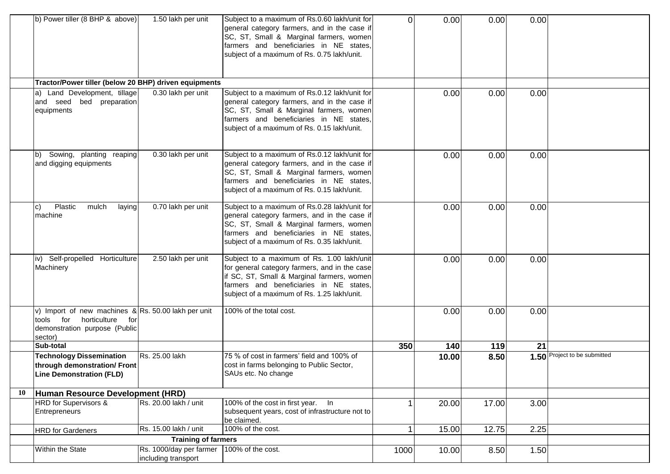|    | b) Power tiller (8 BHP & above)                                                                                                     | 1.50 lakh per unit                             | Subject to a maximum of Rs.0.60 lakh/unit for<br>general category farmers, and in the case if<br>SC, ST, Small & Marginal farmers, women<br>farmers and beneficiaries in NE states,<br>subject of a maximum of Rs. 0.75 lakh/unit.  | $\Omega$ | 0.00  | 0.00  | 0.00 |                              |
|----|-------------------------------------------------------------------------------------------------------------------------------------|------------------------------------------------|-------------------------------------------------------------------------------------------------------------------------------------------------------------------------------------------------------------------------------------|----------|-------|-------|------|------------------------------|
|    | Tractor/Power tiller (below 20 BHP) driven equipments                                                                               |                                                |                                                                                                                                                                                                                                     |          |       |       |      |                              |
|    | Land Development, tillage<br>a)<br>and seed bed preparation<br>equipments                                                           | 0.30 lakh per unit                             | Subject to a maximum of Rs.0.12 lakh/unit for<br>general category farmers, and in the case if<br>SC, ST, Small & Marginal farmers, women<br>farmers and beneficiaries in NE states,<br>subject of a maximum of Rs. 0.15 lakh/unit.  |          | 0.00  | 0.00  | 0.00 |                              |
|    | Sowing, planting reaping<br>b)<br>and digging equipments                                                                            | 0.30 lakh per unit                             | Subject to a maximum of Rs.0.12 lakh/unit for<br>general category farmers, and in the case if<br>SC, ST, Small & Marginal farmers, women<br>farmers and beneficiaries in NE states,<br>subject of a maximum of Rs. 0.15 lakh/unit.  |          | 0.00  | 0.00  | 0.00 |                              |
|    | Plastic<br>mulch<br>laying<br>C)<br>machine                                                                                         | 0.70 lakh per unit                             | Subject to a maximum of Rs.0.28 lakh/unit for<br>general category farmers, and in the case if<br>SC, ST, Small & Marginal farmers, women<br>farmers and beneficiaries in NE states,<br>subject of a maximum of Rs. 0.35 lakh/unit.  |          | 0.00  | 0.00  | 0.00 |                              |
|    | iv) Self-propelled Horticulture<br>Machinery                                                                                        | 2.50 lakh per unit                             | Subject to a maximum of Rs. 1.00 lakh/unit<br>for general category farmers, and in the case<br>if SC, ST, Small & Marginal farmers, women<br>farmers and beneficiaries in NE states,<br>subject of a maximum of Rs. 1.25 lakh/unit. |          | 0.00  | 0.00  | 0.00 |                              |
|    | v) Import of new machines & Rs. 50.00 lakh per unit<br>horticulture<br>tools for<br>for<br>demonstration purpose (Public<br>sector) |                                                | 100% of the total cost.                                                                                                                                                                                                             |          | 0.00  | 0.00  | 0.00 |                              |
|    | Sub-total                                                                                                                           |                                                |                                                                                                                                                                                                                                     | 350      | 140   | 119   | 21   |                              |
|    | <b>Technology Dissemination</b><br>through demonstration/ Front<br><b>Line Demonstration (FLD)</b>                                  | Rs. 25.00 lakh                                 | 75 % of cost in farmers' field and 100% of<br>cost in farms belonging to Public Sector,<br>SAUs etc. No change                                                                                                                      |          | 10.00 | 8.50  |      | 1.50 Project to be submitted |
| 10 | Human Resource Development (HRD)                                                                                                    |                                                |                                                                                                                                                                                                                                     |          |       |       |      |                              |
|    | <b>HRD</b> for Supervisors &<br>Entrepreneurs                                                                                       | Rs. 20.00 lakh / unit                          | 100% of the cost in first year.<br>$\ln$<br>subsequent years, cost of infrastructure not to<br>be claimed.                                                                                                                          |          | 20.00 | 17.00 | 3.00 |                              |
|    | <b>HRD</b> for Gardeners                                                                                                            | Rs. 15.00 lakh / unit                          | 100% of the cost.                                                                                                                                                                                                                   |          | 15.00 | 12.75 | 2.25 |                              |
|    |                                                                                                                                     | <b>Training of farmers</b>                     |                                                                                                                                                                                                                                     |          |       |       |      |                              |
|    | Within the State                                                                                                                    | Rs. 1000/day per farmer<br>including transport | 100% of the cost.                                                                                                                                                                                                                   | 1000     | 10.00 | 8.50  | 1.50 |                              |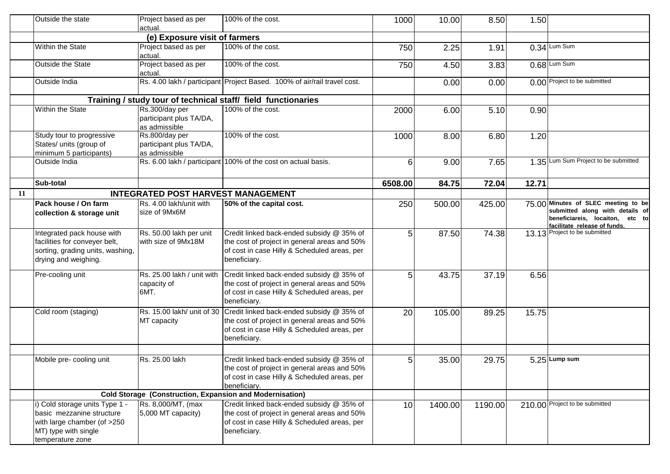|    | Outside the state                                                                                                                      | Project based as per<br>actual.                                 | 100% of the cost.                                                                                                                                                                    | 1000    | 10.00   | 8.50    | 1.50  |                                                                                                                                           |
|----|----------------------------------------------------------------------------------------------------------------------------------------|-----------------------------------------------------------------|--------------------------------------------------------------------------------------------------------------------------------------------------------------------------------------|---------|---------|---------|-------|-------------------------------------------------------------------------------------------------------------------------------------------|
|    |                                                                                                                                        | (e) Exposure visit of farmers                                   |                                                                                                                                                                                      |         |         |         |       |                                                                                                                                           |
|    | Within the State                                                                                                                       | Project based as per<br>actual.                                 | 100% of the cost.                                                                                                                                                                    | 750     | 2.25    | 1.91    |       | $0.34$ Lum Sum                                                                                                                            |
|    | Outside the State                                                                                                                      | Project based as per<br>actual.                                 | 100% of the cost.                                                                                                                                                                    | 750     | 4.50    | 3.83    |       | 0.68 Lum Sum                                                                                                                              |
|    | Outside India                                                                                                                          |                                                                 | Rs. 4.00 lakh / participant Project Based. 100% of air/rail travel cost.                                                                                                             |         | 0.00    | 0.00    |       | 0.00 Project to be submitted                                                                                                              |
|    |                                                                                                                                        |                                                                 | Training / study tour of technical staff/ field functionaries                                                                                                                        |         |         |         |       |                                                                                                                                           |
|    | <b>Within the State</b>                                                                                                                | Rs.300/day per<br>participant plus TA/DA,<br>as admissible      | 100% of the cost.                                                                                                                                                                    | 2000    | 6.00    | 5.10    | 0.90  |                                                                                                                                           |
|    | Study tour to progressive<br>States/ units (group of<br>minimum 5 participants)                                                        | Rs.800/day per<br>participant plus TA/DA,<br>as admissible      | 100% of the cost.                                                                                                                                                                    | 1000    | 8.00    | 6.80    | 1.20  |                                                                                                                                           |
|    | Outside India                                                                                                                          |                                                                 | Rs. 6.00 lakh / participant 100% of the cost on actual basis.                                                                                                                        | 6       | 9.00    | 7.65    |       | 1.35 Lum Sum Project to be submitted                                                                                                      |
|    | Sub-total                                                                                                                              |                                                                 |                                                                                                                                                                                      | 6508.00 | 84.75   | 72.04   | 12.71 |                                                                                                                                           |
| 11 |                                                                                                                                        | <b>INTEGRATED POST HARVEST MANAGEMENT</b>                       |                                                                                                                                                                                      |         |         |         |       |                                                                                                                                           |
|    | Pack house / On farm<br>collection & storage unit                                                                                      | Rs. 4.00 lakh/unit with<br>size of 9Mx6M                        | 50% of the capital cost.                                                                                                                                                             | 250     | 500.00  | 425.00  |       | 75.00 Minutes of SLEC meeting to be<br>submitted along with details of<br>beneficiareis, locaiton, etc to<br>facilitate release of funds. |
|    | Integrated pack house with<br>facilities for conveyer belt,<br>sorting, grading units, washing,<br>drying and weighing.                | Rs. 50.00 lakh per unit<br>with size of 9Mx18M                  | Credit linked back-ended subsidy @ 35% of<br>the cost of project in general areas and 50%<br>of cost in case Hilly & Scheduled areas, per<br>beneficiary.                            | 5       | 87.50   | 74.38   |       | 13.13 Project to be submitted                                                                                                             |
|    | Pre-cooling unit                                                                                                                       | Rs. 25.00 lakh / unit with<br>capacity of<br>6MT.               | Credit linked back-ended subsidy @ 35% of<br>the cost of project in general areas and 50%<br>of cost in case Hilly & Scheduled areas, per<br>beneficiary.                            | 5       | 43.75   | 37.19   | 6.56  |                                                                                                                                           |
|    | Cold room (staging)                                                                                                                    | MT capacity                                                     | Rs. 15.00 lakh/ unit of 30 Credit linked back-ended subsidy @ 35% of<br>the cost of project in general areas and 50%<br>of cost in case Hilly & Scheduled areas, per<br>beneficiary. | 20      | 105.00  | 89.25   | 15.75 |                                                                                                                                           |
|    | Mobile pre- cooling unit                                                                                                               | Rs. 25.00 lakh                                                  | Credit linked back-ended subsidy @ 35% of<br>the cost of project in general areas and 50%<br>of cost in case Hilly & Scheduled areas, per<br>beneficiary.                            | 5       | 35.00   | 29.75   |       | $5.25$ Lump sum                                                                                                                           |
|    |                                                                                                                                        | <b>Cold Storage (Construction, Expansion and Modernisation)</b> |                                                                                                                                                                                      |         |         |         |       |                                                                                                                                           |
|    | i) Cold storage units Type 1 -<br>basic mezzanine structure<br>with large chamber (of >250<br>MT) type with single<br>temperature zone | Rs. 8,000/MT, (max<br>$5,000$ MT capacity)                      | Credit linked back-ended subsidy @ 35% of<br>the cost of project in general areas and 50%<br>of cost in case Hilly & Scheduled areas, per<br>beneficiary.                            | 10      | 1400.00 | 1190.00 |       | 210.00 Project to be submitted                                                                                                            |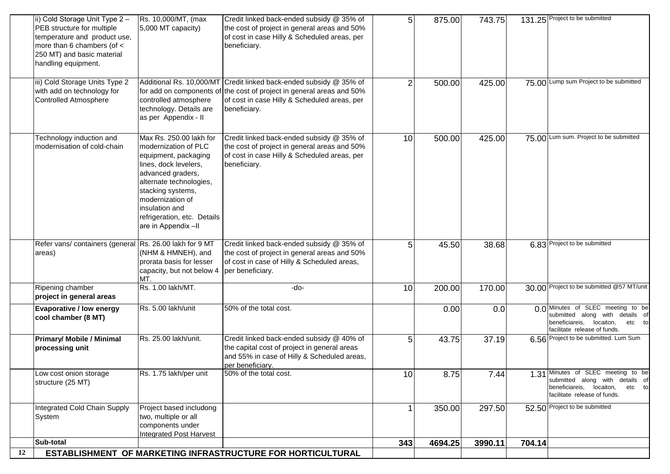|                                                          |                                                                                                                                                                                                                                                                                                                                                                                                                 |                                                                                                                                                                                                             |                                                                                                                                                                                                                                                                                                                                                                                                                                                                                                                                                                                                                                                                                                                                                                                                                                       | 4694.25                                                    |                           | 704.14                               |                                                                                                                                             |
|----------------------------------------------------------|-----------------------------------------------------------------------------------------------------------------------------------------------------------------------------------------------------------------------------------------------------------------------------------------------------------------------------------------------------------------------------------------------------------------|-------------------------------------------------------------------------------------------------------------------------------------------------------------------------------------------------------------|---------------------------------------------------------------------------------------------------------------------------------------------------------------------------------------------------------------------------------------------------------------------------------------------------------------------------------------------------------------------------------------------------------------------------------------------------------------------------------------------------------------------------------------------------------------------------------------------------------------------------------------------------------------------------------------------------------------------------------------------------------------------------------------------------------------------------------------|------------------------------------------------------------|---------------------------|--------------------------------------|---------------------------------------------------------------------------------------------------------------------------------------------|
|                                                          |                                                                                                                                                                                                                                                                                                                                                                                                                 |                                                                                                                                                                                                             |                                                                                                                                                                                                                                                                                                                                                                                                                                                                                                                                                                                                                                                                                                                                                                                                                                       |                                                            |                           |                                      |                                                                                                                                             |
|                                                          | two, multiple or all                                                                                                                                                                                                                                                                                                                                                                                            |                                                                                                                                                                                                             |                                                                                                                                                                                                                                                                                                                                                                                                                                                                                                                                                                                                                                                                                                                                                                                                                                       |                                                            |                           |                                      |                                                                                                                                             |
|                                                          | Project based includong                                                                                                                                                                                                                                                                                                                                                                                         |                                                                                                                                                                                                             |                                                                                                                                                                                                                                                                                                                                                                                                                                                                                                                                                                                                                                                                                                                                                                                                                                       | 350.00                                                     | 297.50                    |                                      | 52.50 Project to be submitted                                                                                                               |
|                                                          |                                                                                                                                                                                                                                                                                                                                                                                                                 |                                                                                                                                                                                                             | 10                                                                                                                                                                                                                                                                                                                                                                                                                                                                                                                                                                                                                                                                                                                                                                                                                                    | 8.75                                                       | 7.44                      |                                      | 1.31 Minutes of SLEC meeting to be<br>submitted along with details of<br>beneficiareis, locaiton,<br>etc to<br>facilitate release of funds. |
|                                                          |                                                                                                                                                                                                                                                                                                                                                                                                                 | and 55% in case of Hilly & Scheduled areas,<br>per beneficiary.                                                                                                                                             |                                                                                                                                                                                                                                                                                                                                                                                                                                                                                                                                                                                                                                                                                                                                                                                                                                       |                                                            |                           |                                      | 6.56 Project to be submitted. Lum Sum                                                                                                       |
| <b>Evaporative / low energy</b>                          | Rs. 5.00 lakh/unit                                                                                                                                                                                                                                                                                                                                                                                              |                                                                                                                                                                                                             |                                                                                                                                                                                                                                                                                                                                                                                                                                                                                                                                                                                                                                                                                                                                                                                                                                       | 0.00                                                       | 0.0                       |                                      | 0.0 Minutes of SLEC meeting to be<br>submitted along with details of<br>beneficiareis, locaiton,<br>etc to<br>facilitate release of funds.  |
|                                                          |                                                                                                                                                                                                                                                                                                                                                                                                                 |                                                                                                                                                                                                             |                                                                                                                                                                                                                                                                                                                                                                                                                                                                                                                                                                                                                                                                                                                                                                                                                                       |                                                            |                           |                                      | 30.00 Project to be submitted @57 MT/unit                                                                                                   |
|                                                          | (NHM & HMNEH), and<br>prorata basis for lesser<br>capacity, but not below 4<br>MT.                                                                                                                                                                                                                                                                                                                              |                                                                                                                                                                                                             | 5 <sub>l</sub>                                                                                                                                                                                                                                                                                                                                                                                                                                                                                                                                                                                                                                                                                                                                                                                                                        | 45.50                                                      | 38.68                     |                                      | 6.83 Project to be submitted                                                                                                                |
| Technology induction and<br>modernisation of cold-chain  | Max Rs. 250.00 lakh for<br>modernization of PLC<br>equipment, packaging<br>lines, dock levelers,<br>advanced graders,<br>alternate technologies,<br>stacking systems,<br>modernization of<br>insulation and<br>refrigeration, etc. Details<br>are in Appendix-II                                                                                                                                                |                                                                                                                                                                                                             | 10                                                                                                                                                                                                                                                                                                                                                                                                                                                                                                                                                                                                                                                                                                                                                                                                                                    | 500.00                                                     | 425.00                    |                                      | 75.00 Lum sum. Project to be submitted                                                                                                      |
| with add on technology for                               | for add on components of<br>controlled atmosphere<br>technology. Details are<br>as per Appendix - II                                                                                                                                                                                                                                                                                                            |                                                                                                                                                                                                             | $\mathbf{2}$                                                                                                                                                                                                                                                                                                                                                                                                                                                                                                                                                                                                                                                                                                                                                                                                                          | 500.00                                                     | 425.00                    | 75.00                                | Lump sum Project to be submitted                                                                                                            |
| more than 6 chambers (of <<br>250 MT) and basic material | 5,000 MT capacity)                                                                                                                                                                                                                                                                                                                                                                                              |                                                                                                                                                                                                             |                                                                                                                                                                                                                                                                                                                                                                                                                                                                                                                                                                                                                                                                                                                                                                                                                                       |                                                            |                           |                                      | 131.25 Project to be submitted                                                                                                              |
|                                                          | ii) Cold Storage Unit Type 2 -<br>PEB structure for multiple<br>temperature and product use,<br>handling equipment.<br>iii) Cold Storage Units Type 2<br>Controlled Atmosphere<br>areas)<br>Ripening chamber<br>project in general areas<br>cool chamber (8 MT)<br><b>Primary/ Mobile / Minimal</b><br>processing unit<br>Low cost onion storage<br>structure (25 MT)<br>Integrated Cold Chain Supply<br>System | Rs. 10,000/MT, (max<br>Refer vans/ containers (general Rs. 26.00 lakh for 9 MT<br>Rs. 1.00 lakh/MT.<br>Rs. 25.00 lakh/unit.<br>Rs. 1.75 lakh/per unit<br>components under<br><b>Integrated Post Harvest</b> | Credit linked back-ended subsidy @ 35% of<br>the cost of project in general areas and 50%<br>of cost in case Hilly & Scheduled areas, per<br>beneficiary.<br>Additional Rs. 10,000/MT Credit linked back-ended subsidy @ 35% of<br>the cost of project in general areas and 50%<br>of cost in case Hilly & Scheduled areas, per<br>beneficiary.<br>Credit linked back-ended subsidy @ 35% of<br>the cost of project in general areas and 50%<br>of cost in case Hilly & Scheduled areas, per<br>beneficiary.<br>Credit linked back-ended subsidy @ 35% of<br>the cost of project in general areas and 50%<br>of cost in case of Hilly & Scheduled areas,<br>per beneficiary.<br>-do-<br>50% of the total cost.<br>Credit linked back-ended subsidy @ 40% of<br>the capital cost of project in general areas<br>50% of the total cost. | 5 <sub>5</sub><br>10<br>5 <sub>5</sub><br>Sub-total<br>343 | 875.00<br>200.00<br>43.75 | 743.75<br>170.00<br>37.19<br>3990.11 |                                                                                                                                             |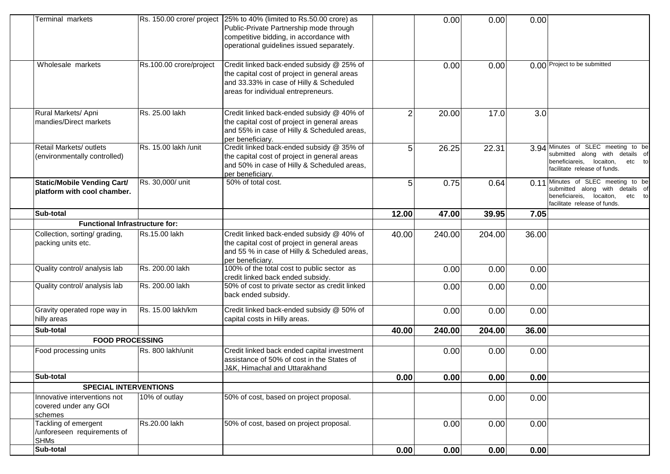| Terminal markets                                                   |                         | Rs. 150.00 crore/ project 25% to 40% (limited to Rs.50.00 crore) as<br>Public-Private Partnership mode through<br>competitive bidding, in accordance with<br>operational guidelines issued separately. |                | 0.00   | 0.00   | 0.00  |                                                                                                                                             |
|--------------------------------------------------------------------|-------------------------|--------------------------------------------------------------------------------------------------------------------------------------------------------------------------------------------------------|----------------|--------|--------|-------|---------------------------------------------------------------------------------------------------------------------------------------------|
| Wholesale markets                                                  | Rs.100.00 crore/project | Credit linked back-ended subsidy @ 25% of<br>the capital cost of project in general areas<br>and 33.33% in case of Hilly & Scheduled<br>areas for individual entrepreneurs.                            |                | 0.00   | 0.00   |       | 0.00 Project to be submitted                                                                                                                |
| Rural Markets/ Apni<br>mandies/Direct markets                      | Rs. 25.00 lakh          | Credit linked back-ended subsidy @ 40% of<br>the capital cost of project in general areas<br>and 55% in case of Hilly & Scheduled areas,<br>per beneficiary.                                           | $\overline{2}$ | 20.00  | 17.0   | 3.0   |                                                                                                                                             |
| Retail Markets/ outlets<br>(environmentally controlled)            | Rs. 15.00 lakh /unit    | Credit linked back-ended subsidy @ 35% of<br>the capital cost of project in general areas<br>and 50% in case of Hilly & Scheduled areas,<br>per beneficiary.                                           | 5              | 26.25  | 22.31  |       | 3.94 Minutes of SLEC meeting to be<br>submitted along with details of<br>beneficiareis, locaiton,<br>etc to<br>facilitate release of funds. |
| <b>Static/Mobile Vending Cart/</b><br>platform with cool chamber.  | Rs. 30,000/ unit        | 50% of total cost.                                                                                                                                                                                     | 5              | 0.75   | 0.64   |       | 0.11 Minutes of SLEC meeting to be<br>submitted along with details of<br>beneficiareis, locaiton,<br>etc to<br>facilitate release of funds. |
| Sub-total                                                          |                         |                                                                                                                                                                                                        | 12.00          | 47.00  | 39.95  | 7.05  |                                                                                                                                             |
| <b>Functional Infrastructure for:</b>                              |                         |                                                                                                                                                                                                        |                |        |        |       |                                                                                                                                             |
| Collection, sorting/ grading,<br>packing units etc.                | Rs.15.00 lakh           | Credit linked back-ended subsidy @ 40% of<br>the capital cost of project in general areas<br>and 55 % in case of Hilly & Scheduled areas,<br>per beneficiary.                                          | 40.00          | 240.00 | 204.00 | 36.00 |                                                                                                                                             |
| Quality control/ analysis lab                                      | Rs. 200.00 lakh         | 100% of the total cost to public sector as<br>credit linked back ended subsidy.                                                                                                                        |                | 0.00   | 0.00   | 0.00  |                                                                                                                                             |
| Quality control/ analysis lab                                      | Rs. 200.00 lakh         | 50% of cost to private sector as credit linked<br>back ended subsidy.                                                                                                                                  |                | 0.00   | 0.00   | 0.00  |                                                                                                                                             |
| Gravity operated rope way in<br>hilly areas                        | Rs. 15.00 lakh/km       | Credit linked back-ended subsidy @ 50% of<br>capital costs in Hilly areas.                                                                                                                             |                | 0.00   | 0.00   | 0.00  |                                                                                                                                             |
| Sub-total                                                          |                         |                                                                                                                                                                                                        | 40.00          | 240.00 | 204.00 | 36.00 |                                                                                                                                             |
| <b>FOOD PROCESSING</b>                                             |                         |                                                                                                                                                                                                        |                |        |        |       |                                                                                                                                             |
| Food processing units                                              | Rs. 800 lakh/unit       | Credit linked back ended capital investment<br>assistance of 50% of cost in the States of<br>J&K, Himachal and Uttarakhand                                                                             |                | 0.00   | 0.00   | 0.00  |                                                                                                                                             |
| Sub-total                                                          |                         |                                                                                                                                                                                                        | 0.00           | 0.00   | 0.00   | 0.00  |                                                                                                                                             |
| <b>SPECIAL INTERVENTIONS</b>                                       |                         |                                                                                                                                                                                                        |                |        |        |       |                                                                                                                                             |
| Innovative interventions not<br>covered under any GOI<br>schemes   | 10% of outlay           | 50% of cost, based on project proposal.                                                                                                                                                                |                |        | 0.00   | 0.00  |                                                                                                                                             |
| Tackling of emergent<br>/unforeseen requirements of<br><b>SHMs</b> | Rs.20.00 lakh           | 50% of cost, based on project proposal.                                                                                                                                                                |                | 0.00   | 0.00   | 0.00  |                                                                                                                                             |
| Sub-total                                                          |                         |                                                                                                                                                                                                        | 0.00           | 0.00   | 0.00   | 0.00  |                                                                                                                                             |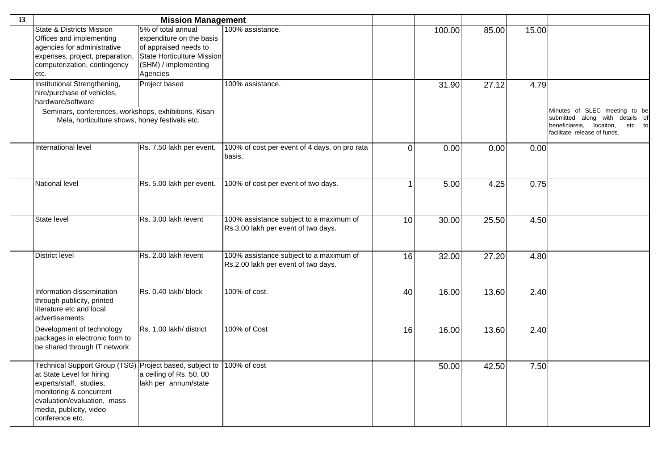| 13 |                                                                                                                                                                                                                         | <b>Mission Management</b>                                                                                                     |                                                                                |             |        |       |       |                                                                                                                                           |
|----|-------------------------------------------------------------------------------------------------------------------------------------------------------------------------------------------------------------------------|-------------------------------------------------------------------------------------------------------------------------------|--------------------------------------------------------------------------------|-------------|--------|-------|-------|-------------------------------------------------------------------------------------------------------------------------------------------|
|    | <b>State &amp; Districts Mission</b><br>Offices and implementing<br>agencies for administrative<br>expenses, project, preparation,<br>computerization, contingency                                                      | 5% of total annual<br>expenditure on the basis<br>of appraised needs to<br>State Horticulture Mission<br>(SHM) / implementing | 100% assistance.                                                               |             | 100.00 | 85.00 | 15.00 |                                                                                                                                           |
|    | etc.                                                                                                                                                                                                                    | Agencies                                                                                                                      |                                                                                |             |        |       |       |                                                                                                                                           |
|    | Institutional Strengthening,<br>hire/purchase of vehicles,<br>hardware/software                                                                                                                                         | Project based                                                                                                                 | 100% assistance.                                                               |             | 31.90  | 27.12 | 4.79  |                                                                                                                                           |
|    | Seminars, conferences, workshops, exhibitions, Kisan<br>Mela, horticulture shows, honey festivals etc.                                                                                                                  |                                                                                                                               |                                                                                |             |        |       |       | Minutes of SLEC meeting to be<br>submitted along with details of<br>beneficiareis,<br>locaiton,<br>etc to<br>facilitate release of funds. |
|    | International level                                                                                                                                                                                                     | Rs. 7.50 lakh per event.                                                                                                      | 100% of cost per event of 4 days, on pro rata<br>basis.                        | $\mathbf 0$ | 0.00   | 0.00  | 0.00  |                                                                                                                                           |
|    | National level                                                                                                                                                                                                          | Rs. 5.00 lakh per event.                                                                                                      | 100% of cost per event of two days.                                            | 1           | 5.00   | 4.25  | 0.75  |                                                                                                                                           |
|    | State level                                                                                                                                                                                                             | Rs. 3.00 lakh / event                                                                                                         | 100% assistance subject to a maximum of<br>Rs.3.00 lakh per event of two days. | 10          | 30.00  | 25.50 | 4.50  |                                                                                                                                           |
|    | <b>District level</b>                                                                                                                                                                                                   | Rs. 2.00 lakh / event                                                                                                         | 100% assistance subject to a maximum of<br>Rs.2.00 lakh per event of two days. | 16          | 32.00  | 27.20 | 4.80  |                                                                                                                                           |
|    | Information dissemination<br>through publicity, printed<br>literature etc and local<br>advertisements                                                                                                                   | Rs. 0.40 lakh/ block                                                                                                          | 100% of cost.                                                                  | 40          | 16.00  | 13.60 | 2.40  |                                                                                                                                           |
|    | Development of technology<br>packages in electronic form to<br>be shared through IT network                                                                                                                             | Rs. 1.00 lakh/ district                                                                                                       | 100% of Cost                                                                   | 16          | 16.00  | 13.60 | 2.40  |                                                                                                                                           |
|    | Technical Support Group (TSG) Project based, subject to<br>at State Level for hiring<br>experts/staff, studies,<br>monitoring & concurrent<br>evaluation/evaluation, mass<br>media, publicity, video<br>conference etc. | a ceiling of Rs. 50. 00<br>lakh per annum/state                                                                               | 100% of cost                                                                   |             | 50.00  | 42.50 | 7.50  |                                                                                                                                           |